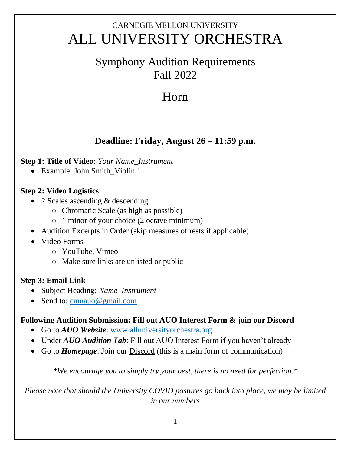## CARNEGIE MELLON UNIVERSITY ALL UNIVERSITY ORCHESTRA

### Symphony Audition Requirements Fall 2022

# Horn

### **Deadline: Friday, August 26 – 11:59 p.m.**

#### **Step 1: Title of Video:** *Your Name\_Instrument*

• Example: John Smith\_Violin 1

#### **Step 2: Video Logistics**

- 2 Scales ascending & descending
	- o Chromatic Scale (as high as possible)
	- o 1 minor of your choice (2 octave minimum)
- Audition Excerpts in Order (skip measures of rests if applicable)
- Video Forms
	- o YouTube, Vimeo
	- o Make sure links are unlisted or public

#### **Step 3: Email Link**

- Subject Heading: *Name\_Instrument*
- Send to: [cmuauo@gmail.com](mailto:cmuauo@gmail.com)

#### **Following Audition Submission: Fill out AUO Interest Form & join our Discord**

- Go to *AUO Website*: [www.alluniversityorchestra.org](http://www.alluniversityorchestra.org/)
- Under *AUO Audition Tab*: Fill out AUO Interest Form if you haven't already
- Go to *Homepage*: Join our Discord (this is a main form of communication)

*\*We encourage you to simply try your best, there is no need for perfection.\**

*Please note that should the University COVID postures go back into place, we may be limited in our numbers*